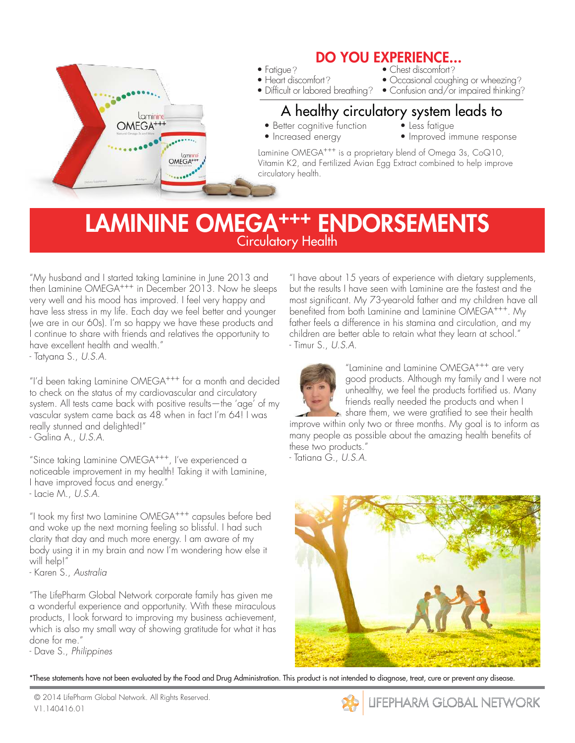

## LAMININE OMEGA<sup>+++</sup> ENDORSEMENTS **Circulatory Health**

"My husband and I started taking Laminine in June 2013 and then Laminine OMEGA+++ in December 2013. Now he sleeps very well and his mood has improved. I feel very happy and have less stress in my life. Each day we feel better and younger (we are in our 60s). I'm so happy we have these products and I continue to share with friends and relatives the opportunity to have excellent health and wealth."

- Tatyana S., U.S.A.

"I'd been taking Laminine OMEGA+++ for a month and decided to check on the status of my cardiovascular and circulatory system. All tests came back with positive results—the 'age' of my vascular system came back as 48 when in fact I'm 64! I was really stunned and delighted!"

- Galina A., U.S.A.

"Since taking Laminine OMEGA+++, I've experienced a noticeable improvement in my health! Taking it with Laminine, I have improved focus and energy." - Lacie M., U.S.A.

"I took my first two Laminine OMEGA+++ capsules before bed and woke up the next morning feeling so blissful. I had such clarity that day and much more energy. I am aware of my body using it in my brain and now I'm wondering how else it will help!"

- Karen S., Australia

"The LifePharm Global Network corporate family has given me a wonderful experience and opportunity. With these miraculous products, I look forward to improving my business achievement, which is also my small way of showing gratitude for what it has done for me."

- Dave S., Philippines

"I have about 15 years of experience with dietary supplements, but the results I have seen with Laminine are the fastest and the most significant. My 73-year-old father and my children have all benefited from both Laminine and Laminine OMEGA+++. My father feels a difference in his stamina and circulation, and my children are better able to retain what they learn at school." - Timur S., U.S.A.



"Laminine and Laminine OMEGA+++ are very good products. Although my family and I were not unhealthy, we feel the products fortified us. Many friends really needed the products and when I share them, we were gratified to see their health

improve within only two or three months. My goal is to inform as many people as possible about the amazing health benefits of these two products."

- Tatiana G., U.S.A.



\*These statements have not been evaluated by the Food and Drug Administration. This product is not intended to diagnose, treat, cure or prevent any disease.

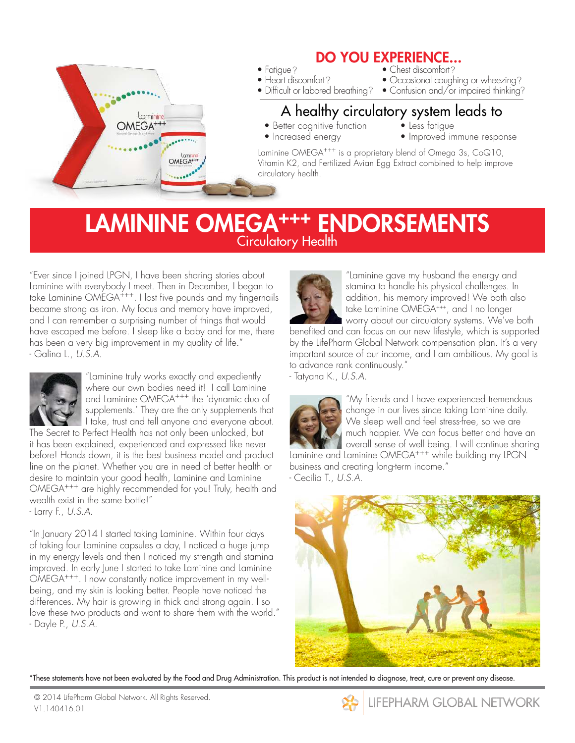

### LAMININE OMEGA<sup>+++</sup> ENDORSEMENTS Circulatory Health

"Ever since I joined LPGN, I have been sharing stories about Laminine with everybody I meet. Then in December, I began to take Laminine OMEGA+++. I lost five pounds and my fingernails became strong as iron. My focus and memory have improved, and I can remember a surprising number of things that would have escaped me before. I sleep like a baby and for me, there has been a very big improvement in my quality of life." - Galina L., U.S.A.



"Laminine truly works exactly and expediently where our own bodies need it! I call Laminine and Laminine OMEGA+++ the 'dynamic duo of supplements.' They are the only supplements that I take, trust and tell anyone and everyone about.

The Secret to Perfect Health has not only been unlocked, but it has been explained, experienced and expressed like never before! Hands down, it is the best business model and product line on the planet. Whether you are in need of better health or desire to maintain your good health, Laminine and Laminine OMEGA+++ are highly recommended for you! Truly, health and wealth exist in the same bottle!"

- Larry F., U.S.A.

"In January 2014 I started taking Laminine. Within four days of taking four Laminine capsules a day, I noticed a huge jump in my energy levels and then I noticed my strength and stamina improved. In early June I started to take Laminine and Laminine OMEGA+++. I now constantly notice improvement in my wellbeing, and my skin is looking better. People have noticed the differences. My hair is growing in thick and strong again. I so love these two products and want to share them with the world." - Dayle P., U.S.A.



"Laminine gave my husband the energy and stamina to handle his physical challenges. In addition, his memory improved! We both also take Laminine OMEGA+++, and I no longer worry about our circulatory systems. We've both

benefited and can focus on our new lifestyle, which is supported by the LifePharm Global Network compensation plan. It's a very important source of our income, and I am ambitious. My goal is to advance rank continuously."

- Tatyana K., U.S.A.



"My friends and I have experienced tremendous change in our lives since taking Laminine daily. We sleep well and feel stress-free, so we are much happier. We can focus better and have an overall sense of well being. I will continue sharing Laminine and Laminine OMEGA+++ while building my LPGN

business and creating long-term income." - Cecilia T., U.S.A.



\*These statements have not been evaluated by the Food and Drug Administration. This product is not intended to diagnose, treat, cure or prevent any disease.